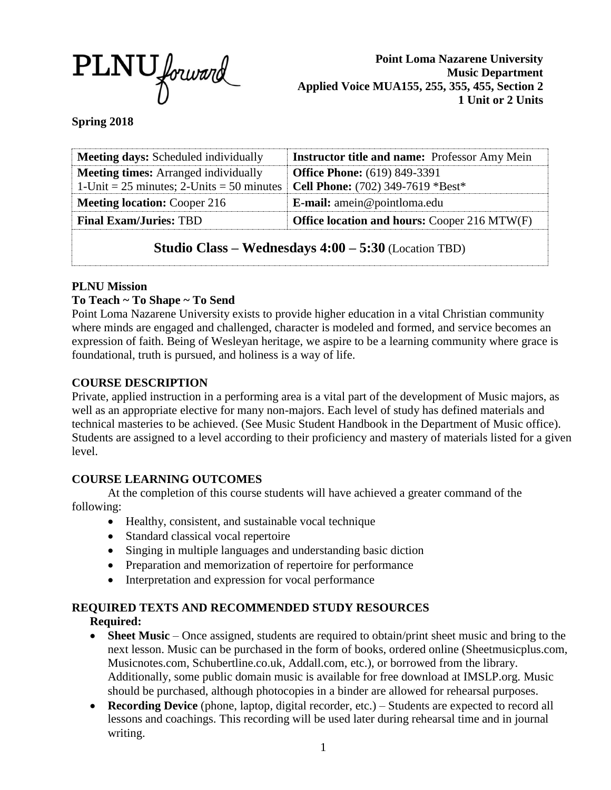

**Point Loma Nazarene University Music Department Applied Voice MUA155, 255, 355, 455, Section 2 1 Unit or 2 Units**

**Spring 2018**

| <b>Meeting days:</b> Scheduled individually                              | <b>Instructor title and name: Professor Amy Mein</b> |  |
|--------------------------------------------------------------------------|------------------------------------------------------|--|
| <b>Meeting times:</b> Arranged individually                              | <b>Office Phone:</b> (619) 849-3391                  |  |
| 1-Unit = $25$ minutes; 2-Units = $50$ minutes                            | Cell Phone: (702) 349-7619 *Best*                    |  |
| <b>Meeting location: Cooper 216</b>                                      | <b>E-mail:</b> amein@pointloma.edu                   |  |
| <b>Final Exam/Juries: TBD</b>                                            | <b>Office location and hours: Cooper 216 MTW(F)</b>  |  |
| <b>Studio Class – Wednesdays <math>4:00 - 5:30</math></b> (Location TBD) |                                                      |  |

## **PLNU Mission**

# **To Teach ~ To Shape ~ To Send**

Point Loma Nazarene University exists to provide higher education in a vital Christian community where minds are engaged and challenged, character is modeled and formed, and service becomes an expression of faith. Being of Wesleyan heritage, we aspire to be a learning community where grace is foundational, truth is pursued, and holiness is a way of life.

# **COURSE DESCRIPTION**

Private, applied instruction in a performing area is a vital part of the development of Music majors, as well as an appropriate elective for many non-majors. Each level of study has defined materials and technical masteries to be achieved. (See Music Student Handbook in the Department of Music office). Students are assigned to a level according to their proficiency and mastery of materials listed for a given level.

## **COURSE LEARNING OUTCOMES**

At the completion of this course students will have achieved a greater command of the following:

- Healthy, consistent, and sustainable vocal technique
- Standard classical vocal repertoire
- Singing in multiple languages and understanding basic diction
- Preparation and memorization of repertoire for performance
- Interpretation and expression for vocal performance

## **REQUIRED TEXTS AND RECOMMENDED STUDY RESOURCES**

## **Required:**

- Sheet Music Once assigned, students are required to obtain/print sheet music and bring to the next lesson. Music can be purchased in the form of books, ordered online (Sheetmusicplus.com, Musicnotes.com, Schubertline.co.uk, Addall.com, etc.), or borrowed from the library. Additionally, some public domain music is available for free download at IMSLP.org. Music should be purchased, although photocopies in a binder are allowed for rehearsal purposes.
- **Recording Device** (phone, laptop, digital recorder, etc.) Students are expected to record all lessons and coachings. This recording will be used later during rehearsal time and in journal writing.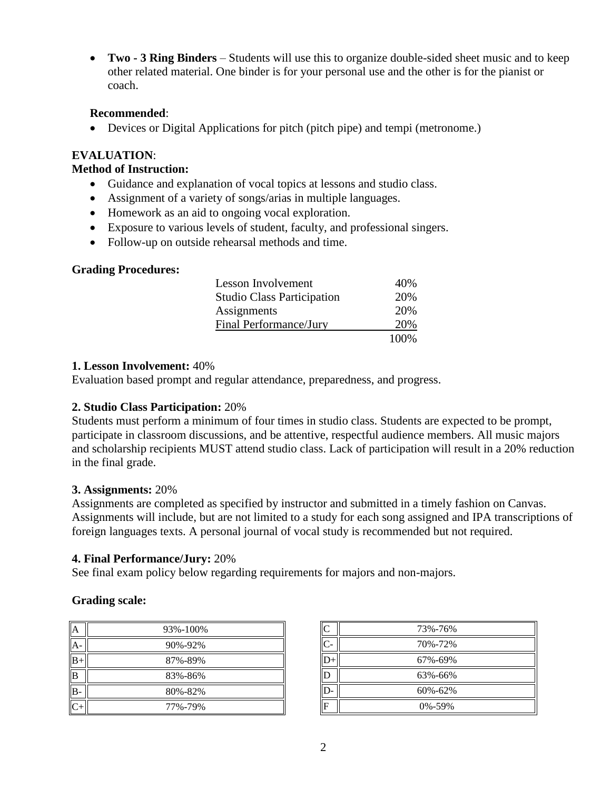**Two - 3 Ring Binders** – Students will use this to organize double-sided sheet music and to keep other related material. One binder is for your personal use and the other is for the pianist or coach.

### **Recommended**:

Devices or Digital Applications for pitch (pitch pipe) and tempi (metronome.)

### **EVALUATION**:

### **Method of Instruction:**

- Guidance and explanation of vocal topics at lessons and studio class.
- Assignment of a variety of songs/arias in multiple languages.
- Homework as an aid to ongoing vocal exploration.
- Exposure to various levels of student, faculty, and professional singers.
- Follow-up on outside rehearsal methods and time.

#### **Grading Procedures:**

| Lesson Involvement                | 40%  |
|-----------------------------------|------|
| <b>Studio Class Participation</b> | 20%  |
| Assignments                       | 20%  |
| Final Performance/Jury            | 20%  |
|                                   | 100% |

### **1. Lesson Involvement:** 40%

Evaluation based prompt and regular attendance, preparedness, and progress.

## **2. Studio Class Participation:** 20%

Students must perform a minimum of four times in studio class. Students are expected to be prompt, participate in classroom discussions, and be attentive, respectful audience members. All music majors and scholarship recipients MUST attend studio class. Lack of participation will result in a 20% reduction in the final grade.

#### **3. Assignments:** 20%

Assignments are completed as specified by instructor and submitted in a timely fashion on Canvas. Assignments will include, but are not limited to a study for each song assigned and IPA transcriptions of foreign languages texts. A personal journal of vocal study is recommended but not required.

#### **4. Final Performance/Jury:** 20%

See final exam policy below regarding requirements for majors and non-majors.

## **Grading scale:**

| А    | 93%-100% |
|------|----------|
| A    | 90%-92%  |
| $B+$ | 87%-89%  |
| B    | 83%-86%  |
| B.   | 80%-82%  |
|      | 77%-79%  |

| C            | 73%-76%       |
|--------------|---------------|
| $\mathsf{C}$ | 70%-72%       |
|              | 67%-69%       |
|              | 63%-66%       |
|              | $60\% - 62\%$ |
| F            | $0\% - 59\%$  |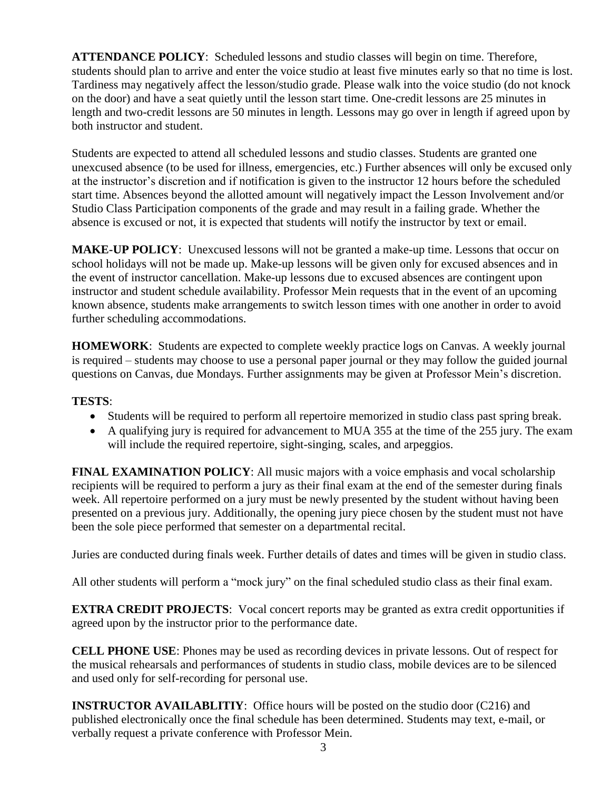**ATTENDANCE POLICY**: Scheduled lessons and studio classes will begin on time. Therefore, students should plan to arrive and enter the voice studio at least five minutes early so that no time is lost. Tardiness may negatively affect the lesson/studio grade. Please walk into the voice studio (do not knock on the door) and have a seat quietly until the lesson start time. One-credit lessons are 25 minutes in length and two-credit lessons are 50 minutes in length. Lessons may go over in length if agreed upon by both instructor and student.

Students are expected to attend all scheduled lessons and studio classes. Students are granted one unexcused absence (to be used for illness, emergencies, etc.) Further absences will only be excused only at the instructor's discretion and if notification is given to the instructor 12 hours before the scheduled start time. Absences beyond the allotted amount will negatively impact the Lesson Involvement and/or Studio Class Participation components of the grade and may result in a failing grade. Whether the absence is excused or not, it is expected that students will notify the instructor by text or email.

**MAKE-UP POLICY**: Unexcused lessons will not be granted a make-up time. Lessons that occur on school holidays will not be made up. Make-up lessons will be given only for excused absences and in the event of instructor cancellation. Make-up lessons due to excused absences are contingent upon instructor and student schedule availability. Professor Mein requests that in the event of an upcoming known absence, students make arrangements to switch lesson times with one another in order to avoid further scheduling accommodations.

**HOMEWORK**: Students are expected to complete weekly practice logs on Canvas. A weekly journal is required – students may choose to use a personal paper journal or they may follow the guided journal questions on Canvas, due Mondays. Further assignments may be given at Professor Mein's discretion.

## **TESTS**:

- Students will be required to perform all repertoire memorized in studio class past spring break.
- A qualifying jury is required for advancement to MUA 355 at the time of the 255 jury. The exam will include the required repertoire, sight-singing, scales, and arpeggios.

**FINAL EXAMINATION POLICY**: All music majors with a voice emphasis and vocal scholarship recipients will be required to perform a jury as their final exam at the end of the semester during finals week. All repertoire performed on a jury must be newly presented by the student without having been presented on a previous jury. Additionally, the opening jury piece chosen by the student must not have been the sole piece performed that semester on a departmental recital.

Juries are conducted during finals week. Further details of dates and times will be given in studio class.

All other students will perform a "mock jury" on the final scheduled studio class as their final exam.

**EXTRA CREDIT PROJECTS:** Vocal concert reports may be granted as extra credit opportunities if agreed upon by the instructor prior to the performance date.

**CELL PHONE USE**: Phones may be used as recording devices in private lessons. Out of respect for the musical rehearsals and performances of students in studio class, mobile devices are to be silenced and used only for self-recording for personal use.

**INSTRUCTOR AVAILABLITIY:** Office hours will be posted on the studio door (C216) and published electronically once the final schedule has been determined. Students may text, e-mail, or verbally request a private conference with Professor Mein.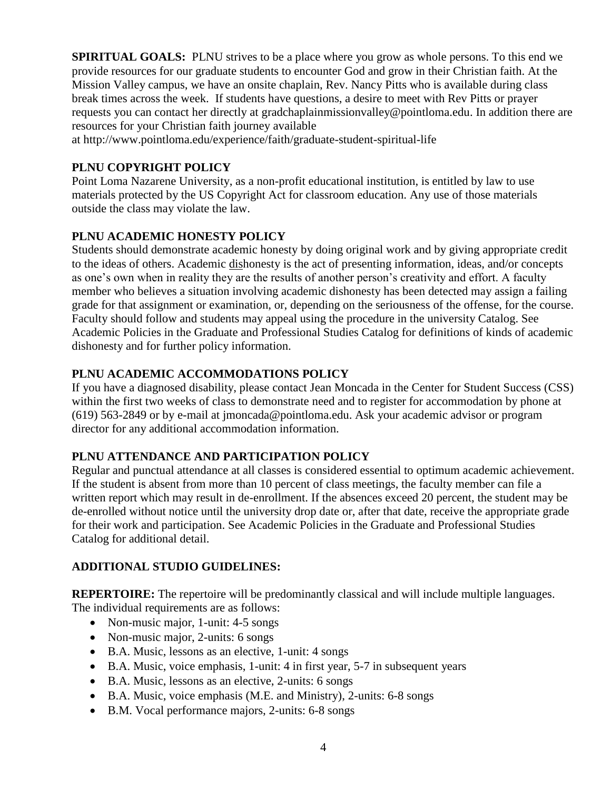**SPIRITUAL GOALS:** PLNU strives to be a place where you grow as whole persons. To this end we provide resources for our graduate students to encounter God and grow in their Christian faith. At the Mission Valley campus, we have an onsite chaplain, Rev. Nancy Pitts who is available during class break times across the week. If students have questions, a desire to meet with Rev Pitts or prayer requests you can contact her directly at gradchaplainmissionvalley@pointloma.edu. In addition there are resources for your Christian faith journey available

at http://www.pointloma.edu/experience/faith/graduate-student-spiritual-life

# **PLNU COPYRIGHT POLICY**

Point Loma Nazarene University, as a non-profit educational institution, is entitled by law to use materials protected by the US Copyright Act for classroom education. Any use of those materials outside the class may violate the law.

# **PLNU ACADEMIC HONESTY POLICY**

Students should demonstrate academic honesty by doing original work and by giving appropriate credit to the ideas of others. Academic dishonesty is the act of presenting information, ideas, and/or concepts as one's own when in reality they are the results of another person's creativity and effort. A faculty member who believes a situation involving academic dishonesty has been detected may assign a failing grade for that assignment or examination, or, depending on the seriousness of the offense, for the course. Faculty should follow and students may appeal using the procedure in the university Catalog. See Academic Policies in the Graduate and Professional Studies Catalog for definitions of kinds of academic dishonesty and for further policy information.

# **PLNU ACADEMIC ACCOMMODATIONS POLICY**

If you have a diagnosed disability, please contact Jean Moncada in the Center for Student Success (CSS) within the first two weeks of class to demonstrate need and to register for accommodation by phone at (619) 563-2849 or by e-mail at jmoncada@pointloma.edu. Ask your academic advisor or program director for any additional accommodation information.

## **PLNU ATTENDANCE AND PARTICIPATION POLICY**

Regular and punctual attendance at all classes is considered essential to optimum academic achievement. If the student is absent from more than 10 percent of class meetings, the faculty member can file a written report which may result in de-enrollment. If the absences exceed 20 percent, the student may be de-enrolled without notice until the university drop date or, after that date, receive the appropriate grade for their work and participation. See Academic Policies in the Graduate and Professional Studies Catalog for additional detail.

## **ADDITIONAL STUDIO GUIDELINES:**

**REPERTOIRE:** The repertoire will be predominantly classical and will include multiple languages. The individual requirements are as follows:

- Non-music major, 1-unit: 4-5 songs
- Non-music major, 2-units: 6 songs
- B.A. Music, lessons as an elective, 1-unit: 4 songs
- B.A. Music, voice emphasis, 1-unit: 4 in first year, 5-7 in subsequent years
- B.A. Music, lessons as an elective, 2-units: 6 songs
- B.A. Music, voice emphasis (M.E. and Ministry), 2-units: 6-8 songs
- B.M. Vocal performance majors, 2-units: 6-8 songs